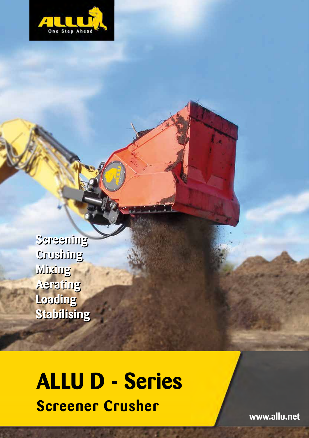

**Screening Screening Crushing Crushing Mixing Mixing Aerating Aerating Loading Loading Stabilising Stabilising**

# **ALLU D - Series Screener Crusher**

**www.allu.net**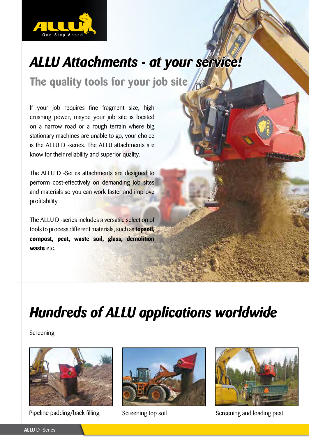

# *ALLU Attachments - at your service!*

**The quality tools for your job site**

If your job requires fine fragment size, high crushing power, maybe your job site is located on a narrow road or a rough terrain where big stationary machines are unable to go, your choice is the ALLU D -series. The ALLU attachments are know for their reliability and superior quality.

The ALLU D -Series attachments are designed to perform cost-effectively on demanding job sites and materials so you can work faster and improve profitability.

The ALLU D -series includes a versatile selection of tools to process different materials, such as **topsoil, compost, peat, waste soil, glass, demolition waste** etc.

# *Hundreds of ALLU applications worldwide*

**Screening** 



Pipeline padding/back filling Screening top soil Screening and loading peat



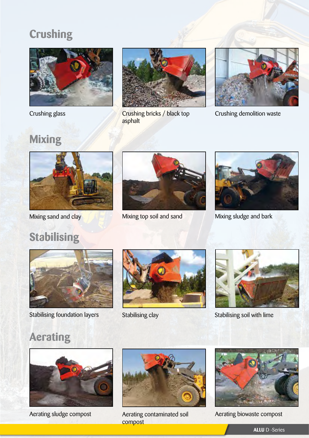## **Crushing**



Crushing glass



Crushing bricks / black top asphalt



Crushing demolition waste

## **Mixing**



Mixing sand and clay

**Stabilising**





Mixing top soil and sand Mixing sludge and bark



Stabilising foundation layers Stabilising clay Stabilising Stabilising soil with lime





## **Aerating**



Aerating sludge compost



compost



Aerating contaminated soil Aerating biowaste compost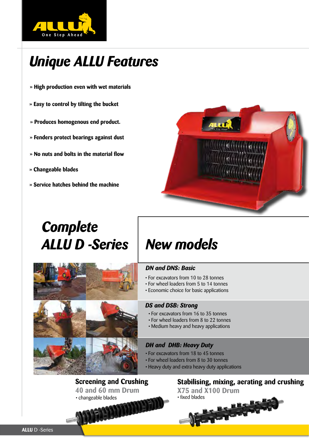

# *Unique ALLU Features*

- **» High production even with wet materials**
- **» Easy to control by tilting the bucket**
- **» Produces homogenous end product.**
- **» Fenders protect bearings against dust**
- **» No nuts and bolts in the material flow**
- **» Changeable blades**
- **» Service hatches behind the machine**

# **IF 22**

# *Complete ALLU D -Series New models*



## *DN and DNS: Basic*

- For excavators from 10 to 28 tonnes
- For wheel loaders from 5 to 14 tonnes
- Economic choice for basic applications

## *DS and DSB: Strong*

- For excavators from 16 to 35 tonnes
- For wheel loaders from 8 to 22 tonnes
- Medium heavy and heavy applications

## *DH and DHB: Heavy Duty*

- For excavators from 18 to 45 tonnes
- For wheel loaders from 8 to 30 tonnes
- Heavy duty and extra heavy duty applications

**Screening and Crushing 40 and 60 mm Drum** • changeable blades

**Stabilising, mixing, aerating and crushing X75 and X100 Drum**

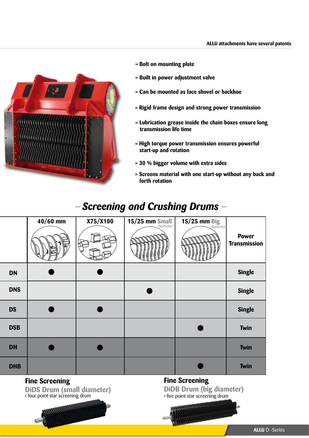

- **» Bolt on mounting plate**
- **» Built in power adjustment valve**
- **» Can be mounted as face shovel or backhoe**
- **» Rigid frame design and strong power transmission**
- **» Lubrication grease inside the chain boxes ensure long transmission life time**
- **» High torque power transmission ensures powerful start-up and rotation**
- **» 30 % bigger volume with extra sides**
- **» Screens material with one start-up without any back and forth rotation**

## **- Screening and Crushing Drums** -

|            | $40/60$ mm | X75/X100 | 15/25 mm Small | 15/25 mm Big<br>diameter |                                     |
|------------|------------|----------|----------------|--------------------------|-------------------------------------|
|            |            |          |                |                          | <b>Power</b><br><b>Transmission</b> |
| <b>DN</b>  |            |          |                |                          | <b>Single</b>                       |
| <b>DNS</b> |            |          |                |                          | <b>Single</b>                       |
| <b>DS</b>  |            |          |                |                          | <b>Single</b>                       |
| <b>DSB</b> |            |          |                |                          | Twin                                |
| <b>DH</b>  |            |          |                |                          | <b>Twin</b>                         |
| <b>DHB</b> |            |          |                |                          | <b>Twin</b>                         |

## **Fine Screening**

**DiDS Drum (small diameter)**<br>
• four point star screening drum

aaaaaaa

**Fine Screening DiDB Drum (big diameter)** • five point star screening drum

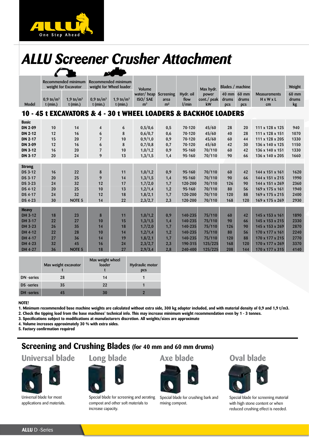

# *ALLU Screener Crusher Attachment*

| Recommended minimum<br>Recommended minimum<br>weight for Wheel loader<br>Blades / machine<br>Weight<br>weight for Excavator<br><b>Volume</b><br>Max hydr.<br>water/heap Screening<br>60 mm<br>Hydr. oil<br>power<br>$40$ mm<br>$60 \text{ mm}$<br><b>Measurements</b><br>1,9 tn/ $m3$<br><b>ISO/SAE</b><br>$0.9 \text{ th/m}^3$<br>1.9 tn/ $m^3$<br>$0.9 \text{ th/m}^3$<br>flow<br>cont./ peak<br>$H \times W \times L$<br>drums<br>drums<br>drums<br>area<br>1/min<br>Model<br>$t$ (min.)<br>$t$ (min.)<br>$t$ (min.)<br>m <sup>3</sup><br>m <sup>2</sup><br>kW<br>$t$ (min.)<br>kg<br>cm<br><b>pcs</b><br><b>DCS</b><br>10 - 45 t EXCAVATORS & 4 - 30 t WHEEL LOADERS & BACKHOE LOADERS<br><b>Basic</b><br><b>DN 2-09</b><br>0,5/0,6<br>45/60<br>20<br>111 x 128 x 125<br>940<br>10<br>14<br>$\overline{\mathbf{4}}$<br>6<br>0,5<br>70-120<br>28<br>8<br>0,6/0,7<br>45/60<br>28<br><b>DN 2-12</b><br>12<br>16<br>6<br>0,6<br>70-120<br>40<br>111 x 128 x 151<br>1070<br>0,9/1,0<br>45/60<br>15<br><b>DN 2-17</b><br>20<br>$\overline{7}$<br>10<br>0,9<br>70-120<br>44<br>111 x 128 x 205<br>1330<br>60<br>0,7/0,8<br>45/60<br><b>DN 3-09</b><br>12<br>16<br>6<br>8<br>70-120<br>30<br>1150<br>0,7<br>42<br>136 x 140 x 125<br>1,0/1,2<br>70/110<br><b>DN 3-12</b><br>20<br>$\overline{7}$<br>10<br>0,9<br>42<br>1330<br>16<br>95-160<br>60<br>136 x 140 x 151<br>9<br>1,3/1,5<br>20<br>24<br>13<br>1,4<br>70/110<br>90<br>66<br><b>DN 3-17</b><br>95-160<br>136 x 140 x 205<br>1660<br><b>Strong</b><br>1,0/1,2<br>0,9<br>70/110<br>42<br>DS 3-12<br>16<br>22<br>8<br>11<br>95-160<br>144 x 151 x 161<br>1620<br>60<br>1,3/1,5<br>70/110<br>9<br>14<br>1,4<br>66<br>DS 3-17<br>20<br>25<br>95-160<br>90<br>144 x 151 x 215<br>1990<br><b>DS 3-23</b><br>1,7/2,0<br>70/110<br>24<br>32<br>12<br>17<br>120-200<br>90<br>144 x 151 x 269<br>2360<br>1,7<br>126<br>1,2/1,4<br>70/110<br>1940<br><b>DS 4-12</b><br>20<br>25<br>10<br>13<br>1,2<br>95-160<br>80<br>56<br>169 x 175 x 161<br>1,8/2,1<br>70/110<br>88<br>DS 4-17<br>32<br>12<br>18<br>1,7<br>120<br>169 x 175 x 215<br>2400<br>24<br>120-200<br>30<br>14<br>22<br>2,3/2,7<br>2,3<br>70/110<br><b>DS 4-23</b><br><b>NOTE 5</b><br>120-200<br>168<br>120<br>169 x 175 x 269<br>2930<br><b>Heavy</b><br>1,0/1,2<br>0,9<br>75/110<br>18<br>8<br>140-235<br>42<br>1890<br>DH 3-12<br>23<br>11<br>60<br>145 x 153 x 161<br>1,3/1,5<br>75/110<br>2330<br>DH 3-17<br>22<br>27<br>10<br>15<br>1,4<br>140-235<br>90<br>66<br>145 x 153 x 215<br>1,7/2,0<br>75/110<br>90<br>DH 3-23<br>26<br>35<br>14<br>18<br>1,7<br>126<br>145 x 153 x 269<br>2870<br>140-235<br>1,2/1,4<br>75/110<br>DH 4-12<br>22<br>1,2<br>140-235<br>170 x 177 x 161<br>2240<br>28<br>10<br>14<br>80<br>56<br>75/110<br>19<br>1,8/2,1<br>88<br>DH 4-17<br>27<br>36<br>14<br>1,7<br>140-235<br>120<br>170 x 177 x 215<br>2770<br>2,3/2,7<br>2,3<br>125/225<br>168<br>DH 4-23<br>32<br>16<br>24<br>190-315<br>120<br>170 x 177 x 269<br>3370<br>45<br>2,9/3,4<br>125/225<br>DH 4-27<br>36<br>18<br>27<br>2,8<br>240-400<br>208<br>144<br>170 x 177 x 315<br>4140<br><b>NOTE 5</b> |  |  |  |  |  |  |  |  |  |  |  |  |  |
|-------------------------------------------------------------------------------------------------------------------------------------------------------------------------------------------------------------------------------------------------------------------------------------------------------------------------------------------------------------------------------------------------------------------------------------------------------------------------------------------------------------------------------------------------------------------------------------------------------------------------------------------------------------------------------------------------------------------------------------------------------------------------------------------------------------------------------------------------------------------------------------------------------------------------------------------------------------------------------------------------------------------------------------------------------------------------------------------------------------------------------------------------------------------------------------------------------------------------------------------------------------------------------------------------------------------------------------------------------------------------------------------------------------------------------------------------------------------------------------------------------------------------------------------------------------------------------------------------------------------------------------------------------------------------------------------------------------------------------------------------------------------------------------------------------------------------------------------------------------------------------------------------------------------------------------------------------------------------------------------------------------------------------------------------------------------------------------------------------------------------------------------------------------------------------------------------------------------------------------------------------------------------------------------------------------------------------------------------------------------------------------------------------------------------------------------------------------------------------------------------------------------------------------------------------------------------------------------------------------------------------------------------------------------------------------------------------------------------------------------------------------------------------------------------------------------------------------------------------------------------------------------------------------------------------------------------------------------------------------------------------------------------------------------------------------------------------------------------------|--|--|--|--|--|--|--|--|--|--|--|--|--|
|                                                                                                                                                                                                                                                                                                                                                                                                                                                                                                                                                                                                                                                                                                                                                                                                                                                                                                                                                                                                                                                                                                                                                                                                                                                                                                                                                                                                                                                                                                                                                                                                                                                                                                                                                                                                                                                                                                                                                                                                                                                                                                                                                                                                                                                                                                                                                                                                                                                                                                                                                                                                                                                                                                                                                                                                                                                                                                                                                                                                                                                                                                       |  |  |  |  |  |  |  |  |  |  |  |  |  |
|                                                                                                                                                                                                                                                                                                                                                                                                                                                                                                                                                                                                                                                                                                                                                                                                                                                                                                                                                                                                                                                                                                                                                                                                                                                                                                                                                                                                                                                                                                                                                                                                                                                                                                                                                                                                                                                                                                                                                                                                                                                                                                                                                                                                                                                                                                                                                                                                                                                                                                                                                                                                                                                                                                                                                                                                                                                                                                                                                                                                                                                                                                       |  |  |  |  |  |  |  |  |  |  |  |  |  |
|                                                                                                                                                                                                                                                                                                                                                                                                                                                                                                                                                                                                                                                                                                                                                                                                                                                                                                                                                                                                                                                                                                                                                                                                                                                                                                                                                                                                                                                                                                                                                                                                                                                                                                                                                                                                                                                                                                                                                                                                                                                                                                                                                                                                                                                                                                                                                                                                                                                                                                                                                                                                                                                                                                                                                                                                                                                                                                                                                                                                                                                                                                       |  |  |  |  |  |  |  |  |  |  |  |  |  |
|                                                                                                                                                                                                                                                                                                                                                                                                                                                                                                                                                                                                                                                                                                                                                                                                                                                                                                                                                                                                                                                                                                                                                                                                                                                                                                                                                                                                                                                                                                                                                                                                                                                                                                                                                                                                                                                                                                                                                                                                                                                                                                                                                                                                                                                                                                                                                                                                                                                                                                                                                                                                                                                                                                                                                                                                                                                                                                                                                                                                                                                                                                       |  |  |  |  |  |  |  |  |  |  |  |  |  |
|                                                                                                                                                                                                                                                                                                                                                                                                                                                                                                                                                                                                                                                                                                                                                                                                                                                                                                                                                                                                                                                                                                                                                                                                                                                                                                                                                                                                                                                                                                                                                                                                                                                                                                                                                                                                                                                                                                                                                                                                                                                                                                                                                                                                                                                                                                                                                                                                                                                                                                                                                                                                                                                                                                                                                                                                                                                                                                                                                                                                                                                                                                       |  |  |  |  |  |  |  |  |  |  |  |  |  |
|                                                                                                                                                                                                                                                                                                                                                                                                                                                                                                                                                                                                                                                                                                                                                                                                                                                                                                                                                                                                                                                                                                                                                                                                                                                                                                                                                                                                                                                                                                                                                                                                                                                                                                                                                                                                                                                                                                                                                                                                                                                                                                                                                                                                                                                                                                                                                                                                                                                                                                                                                                                                                                                                                                                                                                                                                                                                                                                                                                                                                                                                                                       |  |  |  |  |  |  |  |  |  |  |  |  |  |
|                                                                                                                                                                                                                                                                                                                                                                                                                                                                                                                                                                                                                                                                                                                                                                                                                                                                                                                                                                                                                                                                                                                                                                                                                                                                                                                                                                                                                                                                                                                                                                                                                                                                                                                                                                                                                                                                                                                                                                                                                                                                                                                                                                                                                                                                                                                                                                                                                                                                                                                                                                                                                                                                                                                                                                                                                                                                                                                                                                                                                                                                                                       |  |  |  |  |  |  |  |  |  |  |  |  |  |
|                                                                                                                                                                                                                                                                                                                                                                                                                                                                                                                                                                                                                                                                                                                                                                                                                                                                                                                                                                                                                                                                                                                                                                                                                                                                                                                                                                                                                                                                                                                                                                                                                                                                                                                                                                                                                                                                                                                                                                                                                                                                                                                                                                                                                                                                                                                                                                                                                                                                                                                                                                                                                                                                                                                                                                                                                                                                                                                                                                                                                                                                                                       |  |  |  |  |  |  |  |  |  |  |  |  |  |
|                                                                                                                                                                                                                                                                                                                                                                                                                                                                                                                                                                                                                                                                                                                                                                                                                                                                                                                                                                                                                                                                                                                                                                                                                                                                                                                                                                                                                                                                                                                                                                                                                                                                                                                                                                                                                                                                                                                                                                                                                                                                                                                                                                                                                                                                                                                                                                                                                                                                                                                                                                                                                                                                                                                                                                                                                                                                                                                                                                                                                                                                                                       |  |  |  |  |  |  |  |  |  |  |  |  |  |
|                                                                                                                                                                                                                                                                                                                                                                                                                                                                                                                                                                                                                                                                                                                                                                                                                                                                                                                                                                                                                                                                                                                                                                                                                                                                                                                                                                                                                                                                                                                                                                                                                                                                                                                                                                                                                                                                                                                                                                                                                                                                                                                                                                                                                                                                                                                                                                                                                                                                                                                                                                                                                                                                                                                                                                                                                                                                                                                                                                                                                                                                                                       |  |  |  |  |  |  |  |  |  |  |  |  |  |
|                                                                                                                                                                                                                                                                                                                                                                                                                                                                                                                                                                                                                                                                                                                                                                                                                                                                                                                                                                                                                                                                                                                                                                                                                                                                                                                                                                                                                                                                                                                                                                                                                                                                                                                                                                                                                                                                                                                                                                                                                                                                                                                                                                                                                                                                                                                                                                                                                                                                                                                                                                                                                                                                                                                                                                                                                                                                                                                                                                                                                                                                                                       |  |  |  |  |  |  |  |  |  |  |  |  |  |
|                                                                                                                                                                                                                                                                                                                                                                                                                                                                                                                                                                                                                                                                                                                                                                                                                                                                                                                                                                                                                                                                                                                                                                                                                                                                                                                                                                                                                                                                                                                                                                                                                                                                                                                                                                                                                                                                                                                                                                                                                                                                                                                                                                                                                                                                                                                                                                                                                                                                                                                                                                                                                                                                                                                                                                                                                                                                                                                                                                                                                                                                                                       |  |  |  |  |  |  |  |  |  |  |  |  |  |
|                                                                                                                                                                                                                                                                                                                                                                                                                                                                                                                                                                                                                                                                                                                                                                                                                                                                                                                                                                                                                                                                                                                                                                                                                                                                                                                                                                                                                                                                                                                                                                                                                                                                                                                                                                                                                                                                                                                                                                                                                                                                                                                                                                                                                                                                                                                                                                                                                                                                                                                                                                                                                                                                                                                                                                                                                                                                                                                                                                                                                                                                                                       |  |  |  |  |  |  |  |  |  |  |  |  |  |
|                                                                                                                                                                                                                                                                                                                                                                                                                                                                                                                                                                                                                                                                                                                                                                                                                                                                                                                                                                                                                                                                                                                                                                                                                                                                                                                                                                                                                                                                                                                                                                                                                                                                                                                                                                                                                                                                                                                                                                                                                                                                                                                                                                                                                                                                                                                                                                                                                                                                                                                                                                                                                                                                                                                                                                                                                                                                                                                                                                                                                                                                                                       |  |  |  |  |  |  |  |  |  |  |  |  |  |
|                                                                                                                                                                                                                                                                                                                                                                                                                                                                                                                                                                                                                                                                                                                                                                                                                                                                                                                                                                                                                                                                                                                                                                                                                                                                                                                                                                                                                                                                                                                                                                                                                                                                                                                                                                                                                                                                                                                                                                                                                                                                                                                                                                                                                                                                                                                                                                                                                                                                                                                                                                                                                                                                                                                                                                                                                                                                                                                                                                                                                                                                                                       |  |  |  |  |  |  |  |  |  |  |  |  |  |
|                                                                                                                                                                                                                                                                                                                                                                                                                                                                                                                                                                                                                                                                                                                                                                                                                                                                                                                                                                                                                                                                                                                                                                                                                                                                                                                                                                                                                                                                                                                                                                                                                                                                                                                                                                                                                                                                                                                                                                                                                                                                                                                                                                                                                                                                                                                                                                                                                                                                                                                                                                                                                                                                                                                                                                                                                                                                                                                                                                                                                                                                                                       |  |  |  |  |  |  |  |  |  |  |  |  |  |
|                                                                                                                                                                                                                                                                                                                                                                                                                                                                                                                                                                                                                                                                                                                                                                                                                                                                                                                                                                                                                                                                                                                                                                                                                                                                                                                                                                                                                                                                                                                                                                                                                                                                                                                                                                                                                                                                                                                                                                                                                                                                                                                                                                                                                                                                                                                                                                                                                                                                                                                                                                                                                                                                                                                                                                                                                                                                                                                                                                                                                                                                                                       |  |  |  |  |  |  |  |  |  |  |  |  |  |
|                                                                                                                                                                                                                                                                                                                                                                                                                                                                                                                                                                                                                                                                                                                                                                                                                                                                                                                                                                                                                                                                                                                                                                                                                                                                                                                                                                                                                                                                                                                                                                                                                                                                                                                                                                                                                                                                                                                                                                                                                                                                                                                                                                                                                                                                                                                                                                                                                                                                                                                                                                                                                                                                                                                                                                                                                                                                                                                                                                                                                                                                                                       |  |  |  |  |  |  |  |  |  |  |  |  |  |
|                                                                                                                                                                                                                                                                                                                                                                                                                                                                                                                                                                                                                                                                                                                                                                                                                                                                                                                                                                                                                                                                                                                                                                                                                                                                                                                                                                                                                                                                                                                                                                                                                                                                                                                                                                                                                                                                                                                                                                                                                                                                                                                                                                                                                                                                                                                                                                                                                                                                                                                                                                                                                                                                                                                                                                                                                                                                                                                                                                                                                                                                                                       |  |  |  |  |  |  |  |  |  |  |  |  |  |
|                                                                                                                                                                                                                                                                                                                                                                                                                                                                                                                                                                                                                                                                                                                                                                                                                                                                                                                                                                                                                                                                                                                                                                                                                                                                                                                                                                                                                                                                                                                                                                                                                                                                                                                                                                                                                                                                                                                                                                                                                                                                                                                                                                                                                                                                                                                                                                                                                                                                                                                                                                                                                                                                                                                                                                                                                                                                                                                                                                                                                                                                                                       |  |  |  |  |  |  |  |  |  |  |  |  |  |
|                                                                                                                                                                                                                                                                                                                                                                                                                                                                                                                                                                                                                                                                                                                                                                                                                                                                                                                                                                                                                                                                                                                                                                                                                                                                                                                                                                                                                                                                                                                                                                                                                                                                                                                                                                                                                                                                                                                                                                                                                                                                                                                                                                                                                                                                                                                                                                                                                                                                                                                                                                                                                                                                                                                                                                                                                                                                                                                                                                                                                                                                                                       |  |  |  |  |  |  |  |  |  |  |  |  |  |
|                                                                                                                                                                                                                                                                                                                                                                                                                                                                                                                                                                                                                                                                                                                                                                                                                                                                                                                                                                                                                                                                                                                                                                                                                                                                                                                                                                                                                                                                                                                                                                                                                                                                                                                                                                                                                                                                                                                                                                                                                                                                                                                                                                                                                                                                                                                                                                                                                                                                                                                                                                                                                                                                                                                                                                                                                                                                                                                                                                                                                                                                                                       |  |  |  |  |  |  |  |  |  |  |  |  |  |
|                                                                                                                                                                                                                                                                                                                                                                                                                                                                                                                                                                                                                                                                                                                                                                                                                                                                                                                                                                                                                                                                                                                                                                                                                                                                                                                                                                                                                                                                                                                                                                                                                                                                                                                                                                                                                                                                                                                                                                                                                                                                                                                                                                                                                                                                                                                                                                                                                                                                                                                                                                                                                                                                                                                                                                                                                                                                                                                                                                                                                                                                                                       |  |  |  |  |  |  |  |  |  |  |  |  |  |
|                                                                                                                                                                                                                                                                                                                                                                                                                                                                                                                                                                                                                                                                                                                                                                                                                                                                                                                                                                                                                                                                                                                                                                                                                                                                                                                                                                                                                                                                                                                                                                                                                                                                                                                                                                                                                                                                                                                                                                                                                                                                                                                                                                                                                                                                                                                                                                                                                                                                                                                                                                                                                                                                                                                                                                                                                                                                                                                                                                                                                                                                                                       |  |  |  |  |  |  |  |  |  |  |  |  |  |
|                                                                                                                                                                                                                                                                                                                                                                                                                                                                                                                                                                                                                                                                                                                                                                                                                                                                                                                                                                                                                                                                                                                                                                                                                                                                                                                                                                                                                                                                                                                                                                                                                                                                                                                                                                                                                                                                                                                                                                                                                                                                                                                                                                                                                                                                                                                                                                                                                                                                                                                                                                                                                                                                                                                                                                                                                                                                                                                                                                                                                                                                                                       |  |  |  |  |  |  |  |  |  |  |  |  |  |
|                                                                                                                                                                                                                                                                                                                                                                                                                                                                                                                                                                                                                                                                                                                                                                                                                                                                                                                                                                                                                                                                                                                                                                                                                                                                                                                                                                                                                                                                                                                                                                                                                                                                                                                                                                                                                                                                                                                                                                                                                                                                                                                                                                                                                                                                                                                                                                                                                                                                                                                                                                                                                                                                                                                                                                                                                                                                                                                                                                                                                                                                                                       |  |  |  |  |  |  |  |  |  |  |  |  |  |
|                                                                                                                                                                                                                                                                                                                                                                                                                                                                                                                                                                                                                                                                                                                                                                                                                                                                                                                                                                                                                                                                                                                                                                                                                                                                                                                                                                                                                                                                                                                                                                                                                                                                                                                                                                                                                                                                                                                                                                                                                                                                                                                                                                                                                                                                                                                                                                                                                                                                                                                                                                                                                                                                                                                                                                                                                                                                                                                                                                                                                                                                                                       |  |  |  |  |  |  |  |  |  |  |  |  |  |

|                   | Max weight excavator | Max weight wheel<br>loader | Hydraulic motor<br>pcs |
|-------------------|----------------------|----------------------------|------------------------|
| DN series         | 28                   | 14                         |                        |
| <b>DS</b> -series | 35                   | 22                         |                        |
| <b>DH</b> -series |                      | 30                         |                        |

#### **NOTE!**

**1. Minimum recommended base machine weights are calculated without extra side, 300 kg adapter included, and with material density of 0,9 and 1,9 t/m3.**

**2. Check the tipping load from the base machines' technical info. This may increase minimum weight recommendation even by 1 - 3 tonnes.**

**3. Specifications subject to modifications at manufacturers discretion. All weights/sizes are approximate**

**4. Volume increases approximately 30 % with extra sides.**

**5. Factory confirmation required**

## **Screening and Crushing Blades (for 40 mm and 60 mm drums)**

## **Universal blade Long blade Axe blade Oval blade**



Universal blade for most applications and materials.



Special blade for screening and aerating compost and other soft materials to increase capacity.



Special blade for crushing bark and mixing compost.



Special blade for screening material with high stone content or when reduced crushing effect is needed.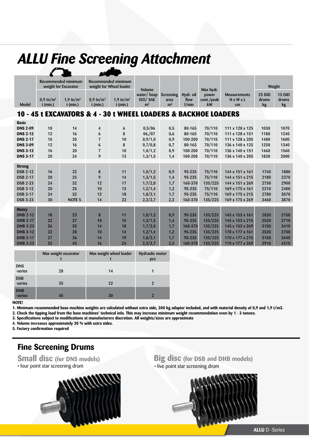# *ALLU Fine Screening Attachment*

| Recommended minimum<br>weight for Excavator |                             | Recommended minimum<br>weight for Wheel loader      |                             |                                                     |                                                |                                                 |                                                     |                                                                                             | Weight                                                                                                                   |                                              |
|---------------------------------------------|-----------------------------|-----------------------------------------------------|-----------------------------|-----------------------------------------------------|------------------------------------------------|-------------------------------------------------|-----------------------------------------------------|---------------------------------------------------------------------------------------------|--------------------------------------------------------------------------------------------------------------------------|----------------------------------------------|
| $0,9 \text{ th/m}^3$<br>$t$ (min.)          | 1.9 tn/ $m^3$<br>$t$ (min.) | $0.9 \text{ th/m}^3$<br>$t$ (min.)                  | 1.9 tn/ $m^3$<br>$t$ (min.) | water/heap<br><b>ISO/SAE</b><br>m <sup>3</sup>      | Screening<br>area<br>m <sup>2</sup>            | Hydr. oil<br>flow<br>$1/m$ in                   | power<br>cont./peak<br>kW                           | <b>Measurements</b><br>$H \times W \times L$<br>cm                                          | 25 DiD<br>drums<br>kg                                                                                                    | 15 DiD<br>drums<br>kg                        |
|                                             |                             |                                                     |                             |                                                     |                                                |                                                 |                                                     |                                                                                             |                                                                                                                          |                                              |
| 10<br>12<br>15<br>12                        | 14<br>16<br>20<br>16        | $\overline{\mathbf{4}}$<br>6<br>$\overline{7}$<br>6 | 6<br>8<br>10<br>8           | 0,5/06<br>06,07<br>0.9/1.0<br>0,7/0,8               | 0,5<br>0,6<br>0,9<br>0,7                       | 80-165<br>80-165<br>100-200<br>80-165           | 70/110<br>70/110<br>70/110<br>70/110                | 111 x 128 x 125<br>111 x 128 x 151<br>111 x 128 x 205<br>136 x 140 x 125                    | 1030<br>1180<br>1480<br>1250                                                                                             | 1070<br>1240<br>1600<br>1340                 |
| 20                                          | 24                          | 9                                                   | 13                          | 1,3/1,5                                             | 1,4                                            | 100-200                                         | 70/110                                              | 136 x 140 x 205                                                                             | 1830                                                                                                                     | 1560<br>2000                                 |
| 16<br>20<br>24                              | 22<br>25<br>32              | 8<br>9<br>12                                        | 11<br>14<br>17              | 1,0/1,2<br>1,3/1,5<br>1,7/2,0                       | 0,9<br>1,4<br>1,7                              | 95-235<br>95-235<br>160-370                     | 75/110<br>75/110<br>135/225                         | 144 x 151 x 161<br>144 x 151 x 215<br>144 x 151 x 269                                       | 1740<br>2180<br>2730                                                                                                     | 1880<br>2370<br>2900                         |
| 24<br>30                                    | 32<br><b>NOTE 5</b>         | 12<br>14                                            | 18<br>22                    | 1,8/2,1<br>2,3/2,7                                  | 1,7<br>2,3                                     | 95-235<br>160-370                               | 75/110<br>135/225                                   | 169 x 175 x 215<br>169 x 175 x 269                                                          | 2780<br>3460                                                                                                             | 2400<br>3070<br>3870                         |
| 18<br>22<br>26<br>22<br>27                  | 23<br>27<br>35<br>28<br>36  | 8<br>10<br>14<br>10<br>14                           | 11<br>15<br>18<br>14<br>19  | 1,0/1,2<br>1,3/1,5<br>1,7/2,0<br>1,2/1,4<br>1,8/2,1 | 0,9<br>1,4<br>1,7<br>1,2<br>1,7                | 95-235<br>95-235<br>160-370<br>95-235<br>95-235 | 135/225<br>135/225<br>135/225<br>135/225<br>135/225 | 145 x 153 x 161<br>145 x 153 x 215<br>145 x 153 x 269<br>170 x 177 x 161<br>170 x 177 x 215 | 2020<br>2520<br>3150<br>2520<br>3150                                                                                     | 2150<br>2710<br>3410<br>2700<br>3440<br>4310 |
|                                             | 16<br>20<br>32              | 20<br>25<br>45                                      | $\overline{7}$<br>10<br>16  | 10<br>13<br>24                                      | <b>Volume</b><br>1,0/1,2<br>1,2/1,4<br>2,3/2,7 | 0,9<br>1,2<br>2,3                               | 100-200<br>95-235<br>160-370                        | Max hydr.<br>70/110<br>75/110<br>135/225                                                    | 10 - 45 t EXCAVATORS & 4 - 30 t WHEEL LOADERS & BACKHOE LOADERS<br>136 x 140 x 151<br>169 x 175 x 161<br>170 x 177 x 269 | 1460<br>2210<br>3910                         |

|                       | Max weight excavator | Max weight wheel loader | Hydraulic motor<br>pcs |
|-----------------------|----------------------|-------------------------|------------------------|
| <b>DNS</b><br>series  | 28                   | 14                      |                        |
| <b>DSB</b><br>-series | 35                   | 22                      |                        |
| <b>DHB</b><br>-series | 45                   | 30                      |                        |

**NOTE!**

**1. Minimum recommended base machine weights are calculated without extra side, 300 kg adapter included, and with material density of 0,9 and 1,9 t/m3. 2. Check the tipping load from the base machines' technical info. This may increase minimum weight recommendation even by 1 - 3 tonnes.**

**3. Specifications subject to modifications at manufacturers discretion. All weights/sizes are approximate**

**4. Volume increases approximately 30 % with extra sides.**

**5. Factory confirmation required**

## **Fine Screening Drums**



**Small disc** (for DNS models)<br> **Big disc** (for DSB and DHB models)<br> **Big disc** (for DSB and DHB models)<br> **Big disc** (for DSB and DHB models) • five point star screening drum